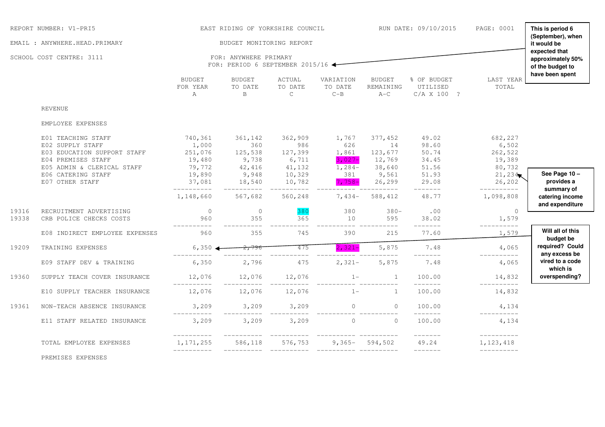|                | REPORT NUMBER: V1-PRI5                                                                      |                                          | EAST RIDING OF YORKSHIRE COUNCIL                  |                                    |                                   |                                     | RUN DATE: 09/10/2015                        | PAGE: 0001                            | This is period 6<br>(September), when<br>it would be |
|----------------|---------------------------------------------------------------------------------------------|------------------------------------------|---------------------------------------------------|------------------------------------|-----------------------------------|-------------------------------------|---------------------------------------------|---------------------------------------|------------------------------------------------------|
|                | EMAIL : ANYWHERE.HEAD.PRIMARY<br>SCHOOL COST CENTRE: 3111                                   |                                          | BUDGET MONITORING REPORT<br>FOR: ANYWHERE PRIMARY |                                    |                                   |                                     |                                             |                                       | expected that<br>approximately 50%                   |
|                |                                                                                             |                                          | FOR: PERIOD 6 SEPTEMBER 2015/16 $\blacklozenge$   |                                    |                                   |                                     |                                             |                                       | of the budget to                                     |
|                |                                                                                             | <b>BUDGET</b><br>FOR YEAR<br>Α           | BUDGET<br>TO DATE<br>$\mathbf B$                  | ACTUAL<br>TO DATE<br>$\mathsf{C}$  | VARIATION<br>TO DATE<br>$C - B$   | <b>BUDGET</b><br>REMAINING<br>$A-C$ | % OF BUDGET<br>UTILISED<br>C/A X 100 ?      | LAST YEAR<br>TOTAL                    | have been spent                                      |
|                | <b>REVENUE</b>                                                                              |                                          |                                                   |                                    |                                   |                                     |                                             |                                       |                                                      |
|                | EMPLOYEE EXPENSES                                                                           |                                          |                                                   |                                    |                                   |                                     |                                             |                                       |                                                      |
|                | E01 TEACHING STAFF<br>E02 SUPPLY STAFF<br>E03 EDUCATION SUPPORT STAFF<br>E04 PREMISES STAFF | 740,361<br>1,000<br>251,076<br>19,480    | 361,142<br>360<br>125,538<br>$9,738$<br>$42,416$  | 362,909<br>986<br>127,399<br>6,711 | 1,767<br>626<br>1,861<br>$3,027-$ | 377,452<br>14<br>123,677<br>12,769  | 49.02<br>98.60<br>50.74<br>34.45            | 682,227<br>6,502<br>262,522<br>19,389 |                                                      |
|                | E05 ADMIN & CLERICAL STAFF<br>E06 CATERING STAFF<br>E07 OTHER STAFF                         | 79,772<br>19,890<br>37,081<br>__________ | 9,948<br>18,540                                   | 41,132<br>10,329<br>10,782         | $1,284-$<br>381<br>$7,758-$       | 38,640<br>9,561<br>26,299           | 51.56<br>51.93<br>29.08                     | 80,732<br>21,234<br>26, 202           | See Page 10 -<br>provides a                          |
|                |                                                                                             | 1,148,660                                | 567,682                                           | 560,248                            | $7,434-$                          | 588,412                             | 48.77                                       | __________<br>1,098,808               | summary of<br>catering income<br>and expenditure     |
| 19316<br>19338 | RECRUITMENT ADVERTISING<br>CRB POLICE CHECKS COSTS                                          | $\overline{0}$<br>960                    | $\circ$<br>355                                    | 380<br>365                         | 380<br>10                         | $380 -$<br>595                      | .00<br>38.02                                | $\Omega$<br>1,579                     |                                                      |
|                | E08 INDIRECT EMPLOYEE EXPENSES                                                              | 960                                      | ---------<br>355                                  | 745                                | _______________________<br>390    | 215                                 | --------<br>77.60                           | $-- - - - - - - - -$<br>1,579         | Will all of this<br>budget be                        |
| 19209          | TRAINING EXPENSES                                                                           |                                          | $6,350$ $4 - 2,796$                               | 475                                | $2,321-$                          | 5,875                               | 7.48<br>_______                             | 4,065<br>__________                   | required? Could<br>any excess be                     |
|                | E09 STAFF DEV & TRAINING                                                                    | 6,350                                    | 2,796                                             | 475                                | $2,321-$                          | 5,875                               | 7.48                                        | 4,065                                 | vired to a code<br>which is                          |
| 19360          | SUPPLY TEACH COVER INSURANCE                                                                | $12,076$ $12,076$                        |                                                   | 12,076                             | $1 -$                             |                                     | 100.00<br>_______                           | 14,832<br>-----------                 | overspending?                                        |
|                | E10 SUPPLY TEACHER INSURANCE                                                                | 12,076                                   | 12,076                                            | 12,076                             | $1 -$                             | $\overline{1}$                      | 100.00                                      | 14,832                                |                                                      |
| 19361          | NON-TEACH ABSENCE INSURANCE                                                                 | __________                               | 3,209<br>$3,209$ $3,209$                          |                                    | $3,209$ 0                         | $\overline{0}$                      | 100.00                                      | 4,134<br>-----------                  |                                                      |
|                | E11 STAFF RELATED INSURANCE                                                                 | 3,209                                    | 3,209                                             | 3,209                              | $\overline{0}$                    | $\circ$                             | 100.00                                      | 4,134                                 |                                                      |
|                | TOTAL EMPLOYEE EXPENSES                                                                     | -----------<br>1, 171, 255<br>__________ | 586,118                                           | 576,753                            |                                   | $9,365 - 594,502$                   | $- - - - - - -$<br>49.24<br>$- - - - - - -$ | __________<br>1,123,418<br>__________ |                                                      |

PREMISES EXPENSES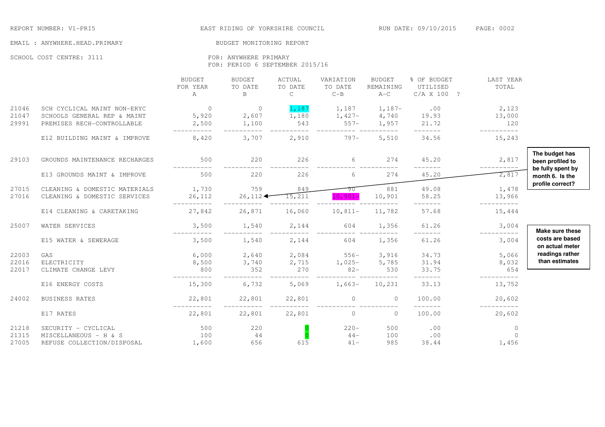REPORT NUMBER: V1-PRI5 **EAST RIDING OF YORKSHIRE COUNCIL** RUN DATE: 09/10/2015 PAGE: 0002

#### EMAIL : ANYWHERE.HEAD.PRIMARY BUDGET MONITORING REPORT

#### SCHOOL COST CENTRE: 3111 FOR: ANYWHERE PRIMARY

FOR: PERIOD 6 SEPTEMBER 2015/16

|                         |                                                                                          | <b>BUDGET</b><br>FOR YEAR<br>Α   | <b>BUDGET</b><br>TO DATE<br>B | ACTUAL<br>TO DATE<br>$\mathsf{C}$ | VARIATION<br>TO DATE<br>$C - B$ | <b>BUDGET</b><br>REMAINING<br>$A-C$ | % OF BUDGET<br>UTILISED<br>C/A X 100 ? | LAST YEAR<br>TOTAL               |                                                         |
|-------------------------|------------------------------------------------------------------------------------------|----------------------------------|-------------------------------|-----------------------------------|---------------------------------|-------------------------------------|----------------------------------------|----------------------------------|---------------------------------------------------------|
| 21046<br>21047<br>29991 | SCH CYCLICAL MAINT NON-ERYC<br>SCHOOLS GENERAL REP & MAINT<br>PREMISES RECH-CONTROLLABLE | $\overline{0}$<br>5,920<br>2,500 | $\circ$<br>2,607<br>1,100     | 1,187<br>1,180<br>543             | 1,187<br>$1,427-$<br>$557 -$    | $1,187-$<br>4,740<br>1,957          | .00<br>19.93<br>21.72                  | 2,123<br>13,000<br>120           |                                                         |
|                         | E12 BUILDING MAINT & IMPROVE                                                             | 8,420                            | 3,707                         | 2,910                             | $797 -$                         | 5,510                               | 34.56                                  | 15,243                           |                                                         |
| 29103                   | GROUNDS MAINTENANCE RECHARGES                                                            | 500                              | 220                           | 226                               | 6                               | 274                                 | 45.20                                  | 2,817<br>----------              | The budget has<br>been profiled to<br>be fully spent by |
|                         | E13 GROUNDS MAINT & IMPROVE                                                              | 500                              | 220                           | 226                               | 6                               | 274                                 | 45.20                                  | 2,817                            | month 6. Is the                                         |
| 27015<br>27016          | CLEANING & DOMESTIC MATERIALS<br>CLEANING & DOMESTIC SERVICES                            | 1,730<br>26,112                  | 759<br>26,112                 | 849<br>15,211                     | -90<br>$10,901 -$               | 881<br>10,901                       | 49.08<br>58.25                         | 1,478<br>13,966                  | profile correct?                                        |
|                         | E14 CLEANING & CARETAKING                                                                | 27,842                           | 26,871                        | 16,060                            | $10,811-$                       | 11,782                              | 57.68                                  | 15,444                           |                                                         |
| 25007                   | WATER SERVICES                                                                           | 3,500                            | 1,540                         | 2,144                             | 604                             | 1,356                               | 61.26                                  | 3,004<br>__________              | Make sure these                                         |
|                         | E15 WATER & SEWERAGE                                                                     | 3,500                            | 1,540                         | 2,144                             | 604                             | 1,356                               | 61.26                                  | 3,004                            | costs are based<br>on actual meter                      |
| 22003<br>22016<br>22017 | GAS<br>ELECTRICITY<br>CLIMATE CHANGE LEVY                                                | 6,000<br>8,500<br>800            | 2,640<br>3,740<br>352         | 2,084<br>2,715<br>270             | $556 -$<br>$1,025-$<br>$82 -$   | 3,916<br>5,785<br>530               | 34.73<br>31.94<br>33.75                | 5,066<br>8,032<br>654            | readings rather<br>than estimates                       |
|                         | E16 ENERGY COSTS                                                                         | 15,300                           | 6,732                         | 5,069                             | $1,663-$                        | 10,231                              | --------<br>33.13                      | 13,752                           |                                                         |
| 24002                   | <b>BUSINESS RATES</b>                                                                    | 22,801                           | 22,801                        | 22,801                            | $\circ$                         | $\overline{0}$                      | 100.00                                 | 20,602<br>$- - - - - - - - -$    |                                                         |
|                         | E17 RATES                                                                                | 22,801                           | 22,801                        | 22,801                            | $\circ$                         | $\mathbf 0$                         | --------<br>100.00                     | 20,602                           |                                                         |
| 21218<br>21315<br>27005 | SECURITY - CYCLICAL<br>MISCELLANEOUS - H & S<br>REFUSE COLLECTION/DISPOSAL               | 500<br>100<br>1,600              | 220<br>44<br>656              | 615                               | $220 -$<br>$44-$<br>$41 -$      | 500<br>100<br>985                   | .00<br>.00<br>38.44                    | $\circ$<br>$\mathbf{0}$<br>1,456 |                                                         |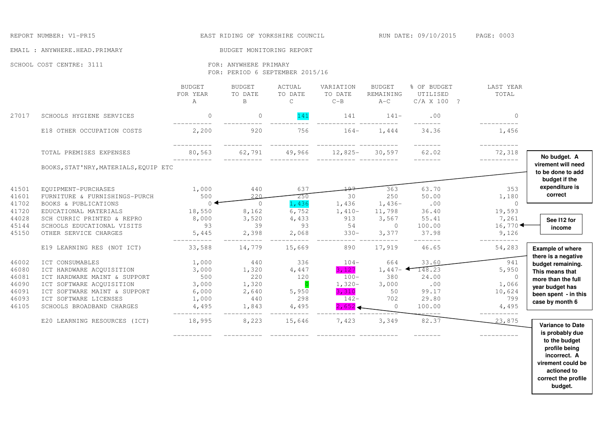REPORT NUMBER: V1-PRI5 THE REPORT OF YORKSHIRE COUNCIL THE RUN DATE: 09/10/2015 PAGE: 0003

 **virement could be actioned to correct the profile budget.** 

EMAIL : ANYWHERE.HEAD.PRIMARY BUDGET MONITORING REPORT

SCHOOL COST CENTRE: 3111 FOR: ANYWHERE PRIMARY

FOR: PERIOD 6 SEPTEMBER 2015/16

|                                                             |                                                                                                                                                                                               | <b>BUDGET</b><br>FOR YEAR<br>A                            | <b>BUDGET</b><br>TO DATE<br>B                         | ACTUAL<br>TO DATE<br>C                                         | VARIATION<br>TO DATE<br>$C - B$                                    | <b>BUDGET</b><br>REMAINING<br>$A-C$                            | % OF BUDGET<br>UTILISED<br>C/A X 100 ?                                  | LAST YEAR<br>TOTAL                                                       |                                                                                                                          |
|-------------------------------------------------------------|-----------------------------------------------------------------------------------------------------------------------------------------------------------------------------------------------|-----------------------------------------------------------|-------------------------------------------------------|----------------------------------------------------------------|--------------------------------------------------------------------|----------------------------------------------------------------|-------------------------------------------------------------------------|--------------------------------------------------------------------------|--------------------------------------------------------------------------------------------------------------------------|
| 27017                                                       | SCHOOLS HYGIENE SERVICES                                                                                                                                                                      | $\mathbf{0}$                                              | $\circ$                                               | 141                                                            | 141                                                                | $141-$                                                         | .00                                                                     | $\Omega$                                                                 |                                                                                                                          |
|                                                             | E18 OTHER OCCUPATION COSTS                                                                                                                                                                    | 2,200                                                     | 920                                                   | 756                                                            | $164-$                                                             | 1,444                                                          | 34.36                                                                   | 1,456                                                                    |                                                                                                                          |
|                                                             | TOTAL PREMISES EXPENSES                                                                                                                                                                       | 80,563                                                    | 62,791                                                | 49,966                                                         | $12,825-$                                                          | 30,597                                                         | 62.02                                                                   | -----------<br>72,318<br>-----------                                     | No budget. A                                                                                                             |
|                                                             | BOOKS, STAT'NRY, MATERIALS, EQUIP ETC                                                                                                                                                         |                                                           |                                                       |                                                                |                                                                    |                                                                |                                                                         |                                                                          | virement will need<br>to be done to add<br>budget if the                                                                 |
| 41501<br>41601                                              | EQUIPMENT-PURCHASES<br>FURNITURE & FURNISHINGS-PURCH<br>BOOKS & PUBLICATIONS                                                                                                                  | 1,000<br>500<br>$\theta$                                  | 440<br>220                                            | 637<br>250                                                     | 30                                                                 | 363<br>250                                                     | 63.70<br>50.00                                                          | 353<br>1,180<br>$\circ$                                                  | expenditure is<br>correct                                                                                                |
| 41702<br>41720<br>44028<br>45144<br>45150                   | EDUCATIONAL MATERIALS<br>SCH CURRIC PRINTED & REPRO<br>SCHOOLS EDUCATIONAL VISITS<br>OTHER SERVICE CHARGES                                                                                    | 18,550<br>8,000<br>93<br>5,445                            | $\circ$<br>8,162<br>3,520<br>39<br>2,398              | 1,436<br>6,752<br>4,433<br>93<br>2,068                         | 1,436<br>$1,410-$<br>913<br>54<br>$330 -$                          | $1,436-$<br>11,798<br>3,567<br>$\circ$<br>3,377                | .00<br>36.40<br>55.41<br>100.00<br>37.98                                | 19,593<br>7,261<br>16,770<br>9,126                                       | See I12 for<br>income                                                                                                    |
|                                                             | E19 LEARNING RES (NOT ICT)                                                                                                                                                                    | 33,588                                                    | 14,779                                                | 15,669                                                         | 890                                                                | 17,919                                                         | 46.65                                                                   | 54,283                                                                   | <b>Example of where</b><br>there is a negative                                                                           |
| 46002<br>46080<br>46081<br>46090<br>46091<br>46093<br>46105 | ICT CONSUMABLES<br>ICT HARDWARE ACQUISITION<br>ICT HARDWARE MAINT & SUPPORT<br>ICT SOFTWARE ACOUISITION<br>ICT SOFTWARE MAINT & SUPPORT<br>ICT SOFTWARE LICENSES<br>SCHOOLS BROADBAND CHARGES | 1,000<br>3,000<br>500<br>3,000<br>6,000<br>1,000<br>4,495 | 440<br>1,320<br>220<br>1,320<br>2,640<br>440<br>1,843 | 336<br>4,447<br>120<br>$\overline{0}$<br>5,950<br>298<br>4,495 | $104-$<br>3,127<br>$100 -$<br>$1,320-$<br>3,310<br>$142-$<br>2,652 | 664<br>$1,447-$<br>380<br>3,000<br>50<br>702<br>$\overline{0}$ | 33.60<br>$-148.23$<br>24.00<br>.00<br>99.17<br>29.80<br>100.00<br>----- | 941<br>5,950<br>$\circ$<br>1,066<br>10,624<br>799<br>4,495<br>---------- | budget remaining.<br>This means that<br>more than the full<br>year budget has<br>been spent - in this<br>case by month 6 |
|                                                             | E20 LEARNING RESOURCES (ICT)                                                                                                                                                                  | 18,995                                                    | 8,223                                                 | 15,646                                                         | 7,423                                                              | 3,349                                                          | 82.37                                                                   | 23,875                                                                   | <b>Variance to Date</b><br>is probably due<br>to the budget<br>profile being<br>incorrect. A                             |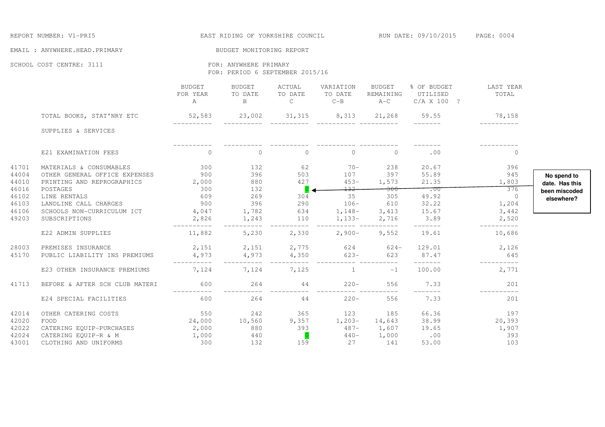|                                           | REPORT NUMBER: V1-PRI5                                                                                                                             |                                                                                                |                                                          |                                                   |                                                                                                                                                                                                                                                                                                                                 |                                 | EAST RIDING OF YORKSHIRE COUNCIL THE RUN DATE: 09/10/2015 PAGE: 0004                                                                                                                                                                                                                                                                                                                                                                                                                       |                                         |                               |  |
|-------------------------------------------|----------------------------------------------------------------------------------------------------------------------------------------------------|------------------------------------------------------------------------------------------------|----------------------------------------------------------|---------------------------------------------------|---------------------------------------------------------------------------------------------------------------------------------------------------------------------------------------------------------------------------------------------------------------------------------------------------------------------------------|---------------------------------|--------------------------------------------------------------------------------------------------------------------------------------------------------------------------------------------------------------------------------------------------------------------------------------------------------------------------------------------------------------------------------------------------------------------------------------------------------------------------------------------|-----------------------------------------|-------------------------------|--|
|                                           | EMAIL : ANYWHERE.HEAD.PRIMARY                                                                                                                      |                                                                                                | BUDGET MONITORING REPORT                                 |                                                   |                                                                                                                                                                                                                                                                                                                                 |                                 |                                                                                                                                                                                                                                                                                                                                                                                                                                                                                            |                                         |                               |  |
|                                           | SCHOOL COST CENTRE: 3111                                                                                                                           |                                                                                                | FOR: ANYWHERE PRIMARY<br>FOR: PERIOD 6 SEPTEMBER 2015/16 |                                                   |                                                                                                                                                                                                                                                                                                                                 |                                 |                                                                                                                                                                                                                                                                                                                                                                                                                                                                                            |                                         |                               |  |
|                                           |                                                                                                                                                    | BUDGET<br>FOR YEAR TO DATE                                                                     | BUDGET<br>A B                                            | ACTUAL<br>TO DATE                                 | VARIATION BUDGET<br>TO DATE REMAINING<br>$C$ $C-B$ $A-C$                                                                                                                                                                                                                                                                        |                                 | % OF BUDGET LAST YEAR<br>UTILISED<br>C/A X 100 ?                                                                                                                                                                                                                                                                                                                                                                                                                                           | <b>TOTAL</b>                            |                               |  |
|                                           | TOTAL BOOKS, STAT'NRY ETC 52,583 23,002 31,315 8,313 21,268 59.55 78,158                                                                           |                                                                                                |                                                          |                                                   |                                                                                                                                                                                                                                                                                                                                 |                                 |                                                                                                                                                                                                                                                                                                                                                                                                                                                                                            |                                         |                               |  |
|                                           | SUPPLIES & SERVICES                                                                                                                                |                                                                                                |                                                          |                                                   |                                                                                                                                                                                                                                                                                                                                 |                                 | $\begin{tabular}{ccccc} \multicolumn{2}{c} {\textbf{1}} & \multicolumn{2}{c} {\textbf{2}} & \multicolumn{2}{c} {\textbf{3}} & \multicolumn{2}{c} {\textbf{4}} & \multicolumn{2}{c} {\textbf{5}} & \multicolumn{2}{c} {\textbf{6}} & \multicolumn{2}{c} {\textbf{7}} & \multicolumn{2}{c} {\textbf{8}} & \multicolumn{2}{c} {\textbf{9}} & \multicolumn{2}{c} {\textbf{1}} & \multicolumn{2}{c} {\textbf{1}} & \multicolumn{2}{c} {\textbf{1}} & \multicolumn{2}{c} {\textbf{1}} & \multic$ | ___________                             |                               |  |
|                                           | E21 EXAMINATION FEES                                                                                                                               | $\overline{0}$                                                                                 | $\overline{0}$                                           |                                                   | $\begin{matrix} 0 & 0 & 0 \\ 0 & 0 & 0 \\ 0 & 0 & 0 \\ 0 & 0 & 0 \\ 0 & 0 & 0 \\ 0 & 0 & 0 \\ 0 & 0 & 0 \\ 0 & 0 & 0 & 0 \\ 0 & 0 & 0 & 0 \\ 0 & 0 & 0 & 0 \\ 0 & 0 & 0 & 0 \\ 0 & 0 & 0 & 0 \\ 0 & 0 & 0 & 0 & 0 \\ 0 & 0 & 0 & 0 & 0 \\ 0 & 0 & 0 & 0 & 0 \\ 0 & 0 & 0 & 0 & 0 & 0 \\ 0 & 0 & 0 & 0 & 0 & 0 \\ 0 & 0 & 0 & 0$ |                                 | .00                                                                                                                                                                                                                                                                                                                                                                                                                                                                                        | $\overline{0}$                          |                               |  |
| 41701<br>44004<br>44010                   | MATERIALS & CONSUMABLES<br>OTHER GENERAL OFFICE EXPENSES 900<br>PRINTING AND REPROGRAPHICS 2,000                                                   | 300                                                                                            | 132<br>396<br>880                                        | 503<br>427                                        | $62$ $70 - 238$<br>$453 -$                                                                                                                                                                                                                                                                                                      | 107 397<br>1,573                | 20.67<br>55.89<br>21.35                                                                                                                                                                                                                                                                                                                                                                                                                                                                    | 396<br>945<br>1,803                     | No spend to<br>date. Has this |  |
| 46016<br>46102<br>46103<br>46106          | POSTAGES 300<br>LINE RENTALS 609<br>LANDLINE CALL CHARGES 900<br>LANDLINE CALL CHARGES<br>SCHOOLS NON-CURRICULUM ICT 4,047<br>CURRICULUM ICT 4,047 |                                                                                                | 132<br>269<br>396                                        | $\overline{\text{O}}$ $\blacktriangleleft$<br>304 | $+32-$<br>35                                                                                                                                                                                                                                                                                                                    | $-300$<br>305                   | 49.92<br>$396$ $290$ $106  610$ $32.22$<br>1,782 $634$ $1,148  3,413$ $15.67$<br>1,243 $110$ $1,133  2,716$ $3.89$                                                                                                                                                                                                                                                                                                                                                                         | 376<br>$\overline{0}$<br>1,204<br>3,442 | been miscoded<br>elsewhere?   |  |
| 49203                                     | E22 ADMIN SUPPLIES                                                                                                                                 | __________<br>11,882                                                                           | 5,230                                                    |                                                   | $2,330$ $2,900 - 9,552$                                                                                                                                                                                                                                                                                                         |                                 | --------<br>19.61                                                                                                                                                                                                                                                                                                                                                                                                                                                                          | 2,520<br>-----------<br>10,686          |                               |  |
| 28003<br>45170                            | PREMISES INSURANCE<br>PUBLIC LIABILITY INS PREMIUMS                                                                                                | $4,973$ $4,973$ $4,350$ $623-$ 623                                                             |                                                          |                                                   |                                                                                                                                                                                                                                                                                                                                 |                                 | 2, 151 2, 151 2, 775 624 624 129.01 2, 126<br>87.47<br><u> Liberatur</u>                                                                                                                                                                                                                                                                                                                                                                                                                   | 645<br>___________                      |                               |  |
|                                           | E23 OTHER INSURANCE PREMIUMS                                                                                                                       | 7,124                                                                                          | 7,124 7,125                                              |                                                   |                                                                                                                                                                                                                                                                                                                                 | $1 \hspace{1.5cm} -1$           | 100.00                                                                                                                                                                                                                                                                                                                                                                                                                                                                                     | 2,771                                   |                               |  |
| 41713                                     | BEFORE & AFTER SCH CLUB MATERI                                                                                                                     | 600<br>-----------                                                                             |                                                          | $264$ 44                                          |                                                                                                                                                                                                                                                                                                                                 | $220 - 556$                     | 7.33<br>_______                                                                                                                                                                                                                                                                                                                                                                                                                                                                            | 201<br>____________                     |                               |  |
|                                           | E24 SPECIAL FACILITIES                                                                                                                             | 600                                                                                            |                                                          | 264 44                                            |                                                                                                                                                                                                                                                                                                                                 | $220 - 556$                     | 7.33                                                                                                                                                                                                                                                                                                                                                                                                                                                                                       | 201                                     |                               |  |
| 42014<br>42020<br>42022<br>42024<br>43001 | OTHER CATERING COSTS<br>FOOD<br>CATERING EQUIP-PURCHASES 2,000<br>CATERING EQUIP-R & M<br>CLOTHING AND UNIFORMS                                    | $550$ $242$ $365$ $123$ $185$<br>24,000 $10,560$ 9,357 $1,203$ $14,643$<br>$\frac{1,000}{300}$ | $880$ 393<br>440<br>132                                  | $\overline{O}$<br>159                             | $487-$<br>$440-$<br>27                                                                                                                                                                                                                                                                                                          | 14,643<br>1,607<br>1,000<br>141 | 66.36<br>38.99<br>$19.65$ $1,907$<br>.00<br>53.00                                                                                                                                                                                                                                                                                                                                                                                                                                          | $\frac{197}{20,393}$<br>393<br>103      |                               |  |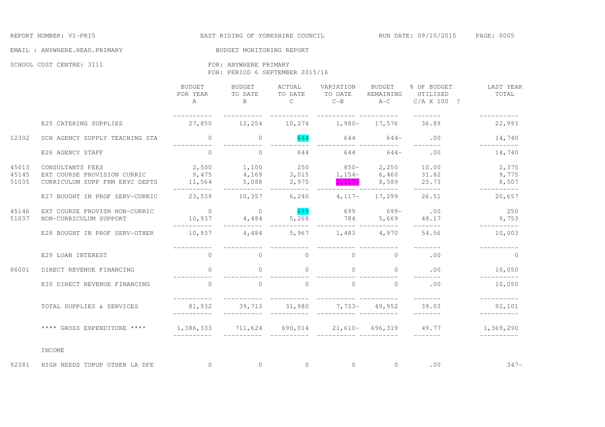#### EMAIL : ANYWHERE.HEAD.PRIMARY BUDGET MONITORING REPORT

SCHOOL COST CENTRE: 3111 FOR: ANYWHERE PRIMARY

FOR: PERIOD 6 SEPTEMBER 2015/16

|                         |                                                                                                                        | BUDGET<br>FOR YEAR<br>$\mathbb{A}$ | BUDGET<br>TO DATE<br>$\mathbf{B}$ | ACTUAL<br>TO DATE<br>$\mathsf{C}$ | VARIATION<br>TO DATE<br>$C - B$          | BUDGET<br>REMAINING<br>$A-C$    | % OF BUDGET<br>UTILISED<br>C/A X 100 ?                                                                                                                                                                                                                                                                                                                                                                                                                                                        | LAST YEAR<br>TOTAL      |
|-------------------------|------------------------------------------------------------------------------------------------------------------------|------------------------------------|-----------------------------------|-----------------------------------|------------------------------------------|---------------------------------|-----------------------------------------------------------------------------------------------------------------------------------------------------------------------------------------------------------------------------------------------------------------------------------------------------------------------------------------------------------------------------------------------------------------------------------------------------------------------------------------------|-------------------------|
|                         | E25 CATERING SUPPLIES                                                                                                  | ----------<br>27,850               |                                   |                                   | 12,254 10,274 1,980- 17,576              |                                 | $- - - - - - - -$<br>36.89                                                                                                                                                                                                                                                                                                                                                                                                                                                                    | ----------<br>22,993    |
| 12302                   | SCH AGENCY SUPPLY TEACHING STA                                                                                         | $\overline{0}$                     | $\circ$                           | 644                               |                                          | $644$ 644-                      | .00<br>--------                                                                                                                                                                                                                                                                                                                                                                                                                                                                               | 14,740<br>__________    |
|                         | E26 AGENCY STAFF                                                                                                       |                                    |                                   | 644                               | ----------- ----------                   | $644$ 644-                      | .00                                                                                                                                                                                                                                                                                                                                                                                                                                                                                           | 14,740                  |
| 45013<br>45145<br>51035 | CONSULTANTS FEES<br>EXT COURSE PROVISION CURRIC 9,475 4,169 3,015 1,154- 6,460 31.82<br>CURRICULUM SUPP FRM ERYC DEPTS | $11,564$ 5,088 2,975               | 2,500 1,100                       |                                   | $250$ 850-<br>$2,113-$                   |                                 | 2,250 10.00<br>8,589 25.73                                                                                                                                                                                                                                                                                                                                                                                                                                                                    | 2,375<br>9,775<br>8,507 |
|                         | E27 BOUGHT IN PROF SERV-CURRIC                                                                                         | __________<br>23,539 10,357 6,240  | __________                        |                                   | $4,117-$                                 | 17,299                          | $-------$<br>26.51                                                                                                                                                                                                                                                                                                                                                                                                                                                                            | -----------<br>20,657   |
| 45146<br>51037          | EXT COURSE PROVISN NON-CURRIC<br>NON-CURRICULUM SUPPORT                                                                | $\overline{0}$                     | $\sim$ 0<br>$10,937$ $4,484$      | 699<br>5,268                      | 699<br>784                               | $699-$<br>5,669                 | .00<br>48.17<br>2222222                                                                                                                                                                                                                                                                                                                                                                                                                                                                       | 250<br>9,753            |
|                         | E28 BOUGHT IN PROF SERV-OTHER                                                                                          | -----------<br>10,937 4,484        |                                   |                                   | _________________________<br>5,967 1,483 |                                 | 4,970 54.56                                                                                                                                                                                                                                                                                                                                                                                                                                                                                   | ----------<br>10,003    |
|                         | E29 LOAN INTEREST                                                                                                      | $\overline{0}$                     | $\circ$                           | $\Omega$                          | $\overline{0}$                           | $\overline{0}$                  | .00                                                                                                                                                                                                                                                                                                                                                                                                                                                                                           | $\Omega$                |
| 86001                   | DIRECT REVENUE FINANCING                                                                                               | $\overline{a}$                     | $\circ$                           | $\sim$ 0                          | $\overline{0}$                           | $\sim$ 0 $\sim$ 0 $\sim$        | .00                                                                                                                                                                                                                                                                                                                                                                                                                                                                                           | 10,050                  |
|                         | E30 DIRECT REVENUE FINANCING                                                                                           | $\overline{0}$                     | $\bigcirc$                        | $\overline{0}$                    | $\overline{0}$                           | $\Omega$                        | .00                                                                                                                                                                                                                                                                                                                                                                                                                                                                                           | ----------<br>10,050    |
|                         | TOTAL SUPPLIES & SERVICES                                                                                              | 81,932<br>___________              |                                   |                                   | 39,713 31,980 7,733- 49,952              |                                 | 39.03<br>$\begin{tabular}{cccccc} \multicolumn{2}{c}{} & \multicolumn{2}{c}{} & \multicolumn{2}{c}{} & \multicolumn{2}{c}{} & \multicolumn{2}{c}{} & \multicolumn{2}{c}{} & \multicolumn{2}{c}{} & \multicolumn{2}{c}{} & \multicolumn{2}{c}{} & \multicolumn{2}{c}{} & \multicolumn{2}{c}{} & \multicolumn{2}{c}{} & \multicolumn{2}{c}{} & \multicolumn{2}{c}{} & \multicolumn{2}{c}{} & \multicolumn{2}{c}{} & \multicolumn{2}{c}{} & \multicolumn{2}{c}{} & \multicolumn{2}{c}{} & \mult$ | -----------<br>92,101   |
|                         | **** GROSS EXPENDITURE ****                                                                                            |                                    |                                   |                                   |                                          |                                 | $1,386,333$ $711,624$ $690,014$ $21,610 696,319$ $49.77$ $1,369,290$                                                                                                                                                                                                                                                                                                                                                                                                                          | __________              |
|                         | INCOME                                                                                                                 |                                    |                                   |                                   |                                          |                                 |                                                                                                                                                                                                                                                                                                                                                                                                                                                                                               |                         |
| 92381                   | HIGH NEEDS TOPUP OTHER LA DFE                                                                                          | $\sim$ 0                           | $\overline{0}$                    | $\overline{0}$                    |                                          | $\begin{matrix}0&0\end{matrix}$ | .00                                                                                                                                                                                                                                                                                                                                                                                                                                                                                           | $347-$                  |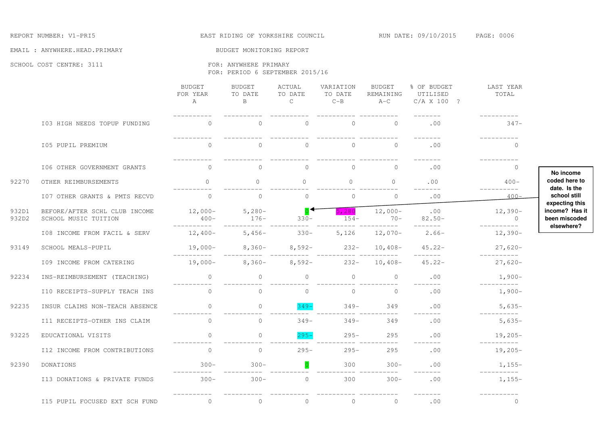#### REPORT NUMBER: V1-PRI5 THE REPORT OF STAT RIDING OF YORKSHIRE COUNCIL THE RUN DATE: 09/10/2015 PAGE: 0006

EMAIL : ANYWHERE.HEAD.PRIMARY BUDGET MONITORING REPORT

SCHOOL COST CENTRE: 3111 FOR: ANYWHERE PRIMARY

FOR: PERIOD 6 SEPTEMBER 2015/16

|                |                                                       | BUDGET<br>FOR YEAR<br>$\mathbb{A}$ | <b>BUDGET</b><br>TO DATE<br>B. | ACTUAL<br>TO DATE<br>$\mathsf{C}$ | VARIATION<br>TO DATE<br>$C - B$ | <b>BUDGET</b><br>REMAINING<br>$A-C$ | % OF BUDGET<br>UTILISED<br>C/A X 100 ? | LAST YEAR<br>TOTAL       |
|----------------|-------------------------------------------------------|------------------------------------|--------------------------------|-----------------------------------|---------------------------------|-------------------------------------|----------------------------------------|--------------------------|
|                | I03 HIGH NEEDS TOPUP FUNDING                          | $\Omega$                           | $\Omega$                       | $\bigcap$                         | $\bigcirc$                      | $\Omega$                            | .00                                    | $347-$                   |
|                | I05 PUPIL PREMIUM                                     | $\circ$                            | $\circ$                        | $\circ$                           | $\circ$                         | $\overline{0}$                      | .00                                    | $\mathbf{0}$             |
|                | I06 OTHER GOVERNMENT GRANTS                           | $\Omega$                           | $\Omega$                       | $\Omega$                          | $\Omega$                        | $\Omega$                            | .00                                    | $\Omega$                 |
| 92270          | OTHER REIMBURSEMENTS                                  | $\Omega$                           | $\Omega$                       | $\Omega$                          | $\Omega$                        | $\Omega$                            | .00                                    | $400 -$                  |
|                | I07 OTHER GRANTS & PMTS RECVD                         | $\Omega$                           | $\circ$                        | $\circ$                           | $\circ$                         | $\Omega$                            | .00                                    | $400 -$                  |
| 932D1<br>932D2 | BEFORE/AFTER SCHL CLUB INCOME<br>SCHOOL MUSIC TUITION | $12,000-$<br>$400-$                | $5,280-$<br>$176 -$            | $330-$                            | 5,280<br>$154-$                 | $12,000-$<br>$70 -$                 | .00<br>$82.50 -$                       | $12,390-$<br>$\bigcirc$  |
|                | I08 INCOME FROM FACIL & SERV                          | $12,400-$                          | $5,456-$                       | $330-$                            | 5,126                           | $12,070-$                           | $2.66-$                                | $12,390-$                |
| 93149          | SCHOOL MEALS-PUPIL                                    | 19,000-                            | $8,360-$                       | $8,592-$                          | $232 -$                         | $10,408-$                           | $45.22 -$                              | $27,620-$                |
|                | I09 INCOME FROM CATERING                              | -----------<br>$19,000-$           | $8,360-$                       | $8,592-$                          | $232 -$                         | $10,408-$                           | --------<br>$45.22 -$                  | -----------<br>$27,620-$ |
| 92234          | INS-REIMBURSEMENT (TEACHING)                          | $\overline{0}$                     | $\Omega$                       | $\Omega$                          | $\overline{0}$                  | $\overline{0}$                      | .00                                    | $1,900-$                 |
|                | I10 RECEIPTS-SUPPLY TEACH INS                         | $\Omega$                           | $\Omega$                       | $\Omega$                          | $\Omega$                        | $\bigcirc$                          | .00                                    | $1,900-$                 |
| 92235          | INSUR CLAIMS NON-TEACH ABSENCE                        | $\circ$                            | $\Omega$                       | $349 -$                           | $349 -$                         | 349                                 | .00                                    | $5,635-$                 |
|                | I11 RECEIPTS-OTHER INS CLAIM                          | $\Omega$                           | $\circ$                        | $349 -$                           | $349 -$                         | 349                                 | --------<br>.00                        | $5,635-$                 |
| 93225          | EDUCATIONAL VISITS                                    | $\cap$                             | $\Omega$                       | $295 -$                           | $295 -$                         | 295                                 | .00                                    | $19,205-$                |
|                | I12 INCOME FROM CONTRIBUTIONS                         | $\bigcirc$                         | $\Omega$                       | $295 -$                           | $295 -$                         | 295                                 | .00                                    | -----------<br>$19,205-$ |
| 92390          | DONATIONS                                             | $300 -$                            | $300 -$                        |                                   | 300                             | $300 -$                             | .00                                    | $1,155-$                 |
|                | I13 DONATIONS & PRIVATE FUNDS                         | $300 -$                            | $300 -$                        | $\Omega$                          | 300                             | $300 -$                             | $- - - - -$<br>.00                     | $1,155-$                 |
|                | I15 PUPIL FOCUSED EXT SCH FUND                        | $\overline{0}$                     | $\circ$                        | $\circ$                           | $\circ$                         | $\overline{0}$                      | .00                                    | $\overline{0}$           |

**No income coded here to date. Is the school still expecting this income? Has it been miscoded elsewhere?**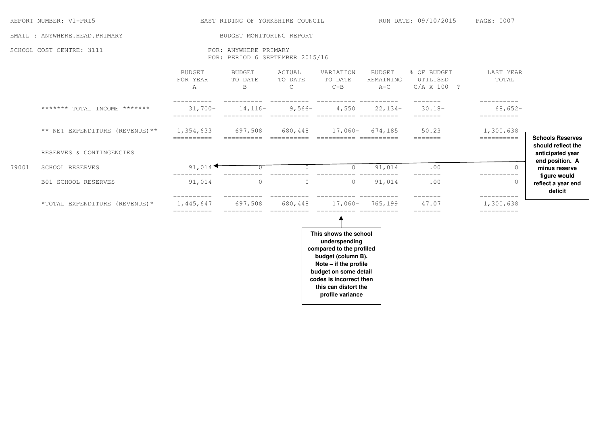|       | REPORT NUMBER: V1-PRI5                                                                                                                |                                | EAST RIDING OF YORKSHIRE COUNCIL                         |                                   |                                                                                                                                                                                                                   |                                     | RUN DATE: 09/10/2015                   | PAGE: 0007                            |                                                                                                       |  |
|-------|---------------------------------------------------------------------------------------------------------------------------------------|--------------------------------|----------------------------------------------------------|-----------------------------------|-------------------------------------------------------------------------------------------------------------------------------------------------------------------------------------------------------------------|-------------------------------------|----------------------------------------|---------------------------------------|-------------------------------------------------------------------------------------------------------|--|
|       | EMAIL : ANYWHERE.HEAD.PRIMARY                                                                                                         |                                | BUDGET MONITORING REPORT                                 |                                   |                                                                                                                                                                                                                   |                                     |                                        |                                       |                                                                                                       |  |
|       | SCHOOL COST CENTRE: 3111                                                                                                              |                                | FOR: ANYWHERE PRIMARY<br>FOR: PERIOD 6 SEPTEMBER 2015/16 |                                   |                                                                                                                                                                                                                   |                                     |                                        |                                       |                                                                                                       |  |
|       |                                                                                                                                       | <b>BUDGET</b><br>FOR YEAR<br>Α | <b>BUDGET</b><br>TO DATE<br>B                            | ACTUAL<br>TO DATE<br>$\mathsf{C}$ | VARIATION<br>TO DATE<br>$C - B$                                                                                                                                                                                   | <b>BUDGET</b><br>REMAINING<br>$A-C$ | % OF BUDGET<br>UTILISED<br>C/A X 100 ? | LAST YEAR<br>TOTAL                    |                                                                                                       |  |
|       | ${\small \texttt{***}{\small \texttt{***}}\; \texttt{TOTAL} \; \; \texttt{INCOME} \; \; {\small \texttt{***}{\small \texttt{***}}\;}$ | $31,700-$                      | $14, 116-$                                               | $9,566-$                          | 4,550                                                                                                                                                                                                             | $22,134-$                           | $30.18 -$<br>$- - - - - - -$           | $68,652-$<br>----------               |                                                                                                       |  |
|       | ** NET EXPENDITURE (REVENUE) **                                                                                                       | 1,354,633                      | 697,508                                                  | 680,448                           |                                                                                                                                                                                                                   | 17,060- 674,185                     | 50.23                                  | 1,300,638                             |                                                                                                       |  |
| 79001 | RESERVES & CONTINGENCIES<br>SCHOOL RESERVES                                                                                           | ==========<br>91,014           |                                                          | $\circ$                           | $\Omega$                                                                                                                                                                                                          | 91,014                              | =======<br>.00                         | ----------<br>$\Omega$                | <b>Schools Reserves</b><br>should reflect the<br>anticipated year<br>end position. A<br>minus reserve |  |
|       | <b>B01 SCHOOL RESERVES</b>                                                                                                            | 91,014                         | $\circ$                                                  | $\circ$                           | $\circ$                                                                                                                                                                                                           | 91,014                              | .00<br>-------                         | ----------<br>$\circ$                 | figure would<br>reflect a year end<br>deficit                                                         |  |
|       | *TOTAL EXPENDITURE (REVENUE) *                                                                                                        | 1,445,647<br>==========        | 697,508                                                  | 680,448                           |                                                                                                                                                                                                                   | 17,060- 765,199                     | 47.07<br>$=$ = = = = = =               | ----------<br>1,300,638<br>========== |                                                                                                       |  |
|       |                                                                                                                                       |                                |                                                          |                                   | This shows the school<br>underspending<br>compared to the profiled<br>budget (column B).<br>Note - if the profile<br>budget on some detail<br>codes is incorrect then<br>this can distort the<br>profile variance |                                     |                                        |                                       |                                                                                                       |  |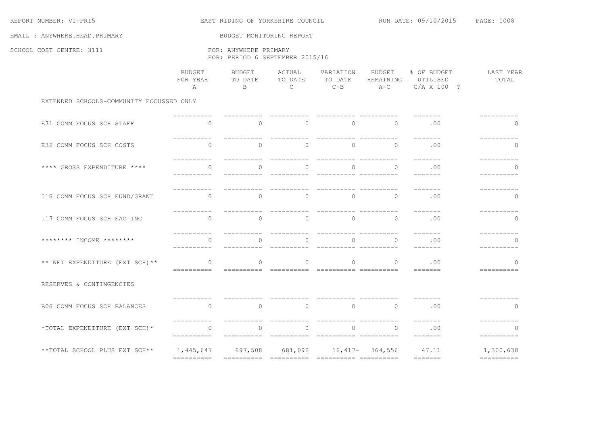| REPORT NUMBER: V1-PRI5                   |                                                          | EAST RIDING OF YORKSHIRE COUNCIL  |                                    | RUN DATE: 09/10/2015              | PAGE: 0008                   |                                                                                                                                                                                                                                                                                                                                                                                                                                                                                                 |                            |  |  |
|------------------------------------------|----------------------------------------------------------|-----------------------------------|------------------------------------|-----------------------------------|------------------------------|-------------------------------------------------------------------------------------------------------------------------------------------------------------------------------------------------------------------------------------------------------------------------------------------------------------------------------------------------------------------------------------------------------------------------------------------------------------------------------------------------|----------------------------|--|--|
| EMAIL : ANYWHERE.HEAD.PRIMARY            |                                                          | BUDGET MONITORING REPORT          |                                    |                                   |                              |                                                                                                                                                                                                                                                                                                                                                                                                                                                                                                 |                            |  |  |
| SCHOOL COST CENTRE: 3111                 | FOR: ANYWHERE PRIMARY<br>FOR: PERIOD 6 SEPTEMBER 2015/16 |                                   |                                    |                                   |                              |                                                                                                                                                                                                                                                                                                                                                                                                                                                                                                 |                            |  |  |
|                                          | <b>BUDGET</b><br>FOR YEAR<br>$\overline{A}$              | BUDGET<br>TO DATE<br>$\mathsf{B}$ | ACTUAL<br>TO DATE<br>$\mathcal{C}$ | VARIATION<br>TO DATE<br>$C - B$   | BUDGET<br>REMAINING<br>$A-C$ | % OF BUDGET<br>UTILISED<br>C/A X 100 ?                                                                                                                                                                                                                                                                                                                                                                                                                                                          | LAST YEAR<br>TOTAL         |  |  |
| EXTENDED SCHOOLS-COMMUNITY FOCUSSED ONLY |                                                          |                                   |                                    |                                   |                              |                                                                                                                                                                                                                                                                                                                                                                                                                                                                                                 |                            |  |  |
| E31 COMM FOCUS SCH STAFF                 | $\Omega$                                                 | $\Omega$                          | $\Omega$                           | $\Omega$                          | $\Omega$                     | .00                                                                                                                                                                                                                                                                                                                                                                                                                                                                                             | $\Omega$                   |  |  |
| E32 COMM FOCUS SCH COSTS                 | $\circ$                                                  | $\circ$                           | $\circ$                            | $\mathbf{0}$                      | $\mathbf{0}$                 | .00                                                                                                                                                                                                                                                                                                                                                                                                                                                                                             | 0                          |  |  |
| **** GROSS EXPENDITURE ****              | $\Omega$                                                 | $\Omega$                          |                                    |                                   | $\Omega$                     | .00                                                                                                                                                                                                                                                                                                                                                                                                                                                                                             | $\Omega$                   |  |  |
| I16 COMM FOCUS SCH FUND/GRANT            | $\Omega$                                                 | $\Omega$                          | $\Omega$                           | $\Omega$                          | $\Omega$                     | .00                                                                                                                                                                                                                                                                                                                                                                                                                                                                                             | $\Omega$                   |  |  |
| I17 COMM FOCUS SCH FAC INC               | $\Omega$                                                 | $\circ$                           | $\circ$                            | $\Omega$                          | $\Omega$                     | .00                                                                                                                                                                                                                                                                                                                                                                                                                                                                                             | $\mathbf 0$                |  |  |
| ******** INCOME ********                 | $\Omega$                                                 | $\circ$                           | $\Omega$                           | $\Omega$                          | $\Omega$                     | .00                                                                                                                                                                                                                                                                                                                                                                                                                                                                                             | $\mathbf{0}$               |  |  |
| ** NET EXPENDITURE (EXT SCH) **          | $\Omega$<br>==========                                   | $\Omega$                          | $\bigcap$                          |                                   | $\Omega$                     | .00<br>$\begin{array}{cccccccccc} \multicolumn{2}{c}{} & \multicolumn{2}{c}{} & \multicolumn{2}{c}{} & \multicolumn{2}{c}{} & \multicolumn{2}{c}{} & \multicolumn{2}{c}{} & \multicolumn{2}{c}{} & \multicolumn{2}{c}{} & \multicolumn{2}{c}{} & \multicolumn{2}{c}{} & \multicolumn{2}{c}{} & \multicolumn{2}{c}{} & \multicolumn{2}{c}{} & \multicolumn{2}{c}{} & \multicolumn{2}{c}{} & \multicolumn{2}{c}{} & \multicolumn{2}{c}{} & \multicolumn{2}{c}{} & \multicolumn{2}{c}{} & \mult$   | $\Omega$<br>==========     |  |  |
| RESERVES & CONTINGENCIES                 |                                                          |                                   |                                    |                                   |                              |                                                                                                                                                                                                                                                                                                                                                                                                                                                                                                 |                            |  |  |
| B06 COMM FOCUS SCH BALANCES              | $\Omega$                                                 | $\circ$                           | $\circ$                            | $\circ$                           | $\mathbf{0}$                 | .00                                                                                                                                                                                                                                                                                                                                                                                                                                                                                             | $\mathbf{0}$               |  |  |
| *TOTAL EXPENDITURE (EXT SCH) *           | $\mathbf{0}$<br>==========                               | $\circ$<br>====================== | $\mathbf 0$                        | $\Omega$<br>scessesses cocossesse | $\mathbf{0}$                 | .00<br>=======                                                                                                                                                                                                                                                                                                                                                                                                                                                                                  | $\mathbf{0}$<br>---------- |  |  |
| **TOTAL SCHOOL PLUS EXT SCH**            | 1,445,647<br>----------                                  | 697,508                           | 681,092                            |                                   | $16,417 - 764,556$           | 47.11<br>$\begin{tabular}{lllllllllll} \toprule & & \multicolumn{3}{c}{} & \multicolumn{3}{c}{} & \multicolumn{3}{c}{} & \multicolumn{3}{c}{} & \multicolumn{3}{c}{} & \multicolumn{3}{c}{} & \multicolumn{3}{c}{} & \multicolumn{3}{c}{} & \multicolumn{3}{c}{} & \multicolumn{3}{c}{} & \multicolumn{3}{c}{} & \multicolumn{3}{c}{} & \multicolumn{3}{c}{} & \multicolumn{3}{c}{} & \multicolumn{3}{c}{} & \multicolumn{3}{c}{} & \multicolumn{3}{c}{} & \multicolumn{3}{c}{} & \multicolumn$ | 1,300,638<br>==========    |  |  |
|                                          |                                                          |                                   |                                    |                                   |                              |                                                                                                                                                                                                                                                                                                                                                                                                                                                                                                 |                            |  |  |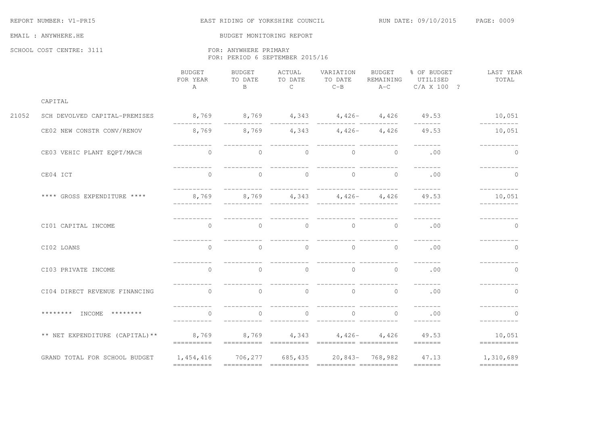|       | REPORT NUMBER: V1-PRI5          |                                                   | EAST RIDING OF YORKSHIRE COUNCIL                         |                                     |                                       | RUN DATE: 09/10/2015 PAGE: 0009 |                                                                                                                                                                                                                                                                                                                                                                                                                                                                                      |                                                                                                                                                                                                                                                                                                                                                                                                                                                                                                                                                                                        |
|-------|---------------------------------|---------------------------------------------------|----------------------------------------------------------|-------------------------------------|---------------------------------------|---------------------------------|--------------------------------------------------------------------------------------------------------------------------------------------------------------------------------------------------------------------------------------------------------------------------------------------------------------------------------------------------------------------------------------------------------------------------------------------------------------------------------------|----------------------------------------------------------------------------------------------------------------------------------------------------------------------------------------------------------------------------------------------------------------------------------------------------------------------------------------------------------------------------------------------------------------------------------------------------------------------------------------------------------------------------------------------------------------------------------------|
|       | EMAIL : ANYWHERE.HE             |                                                   | BUDGET MONITORING REPORT                                 |                                     |                                       |                                 |                                                                                                                                                                                                                                                                                                                                                                                                                                                                                      |                                                                                                                                                                                                                                                                                                                                                                                                                                                                                                                                                                                        |
|       | SCHOOL COST CENTRE: 3111        |                                                   | FOR: ANYWHERE PRIMARY<br>FOR: PERIOD 6 SEPTEMBER 2015/16 |                                     |                                       |                                 |                                                                                                                                                                                                                                                                                                                                                                                                                                                                                      |                                                                                                                                                                                                                                                                                                                                                                                                                                                                                                                                                                                        |
|       |                                 | BUDGET<br>FOR YEAR<br>A                           | BUDGET<br>TO DATE<br>$\overline{B}$                      | ACTUAL<br>TO DATE<br>$\overline{C}$ | VARIATION<br>TO DATE                  | BUDGET<br>REMAINING             | UTILISED<br>$C-B$ $A-C$ $C/A X 100 ?$                                                                                                                                                                                                                                                                                                                                                                                                                                                | % OF BUDGET LAST YEAR<br>TOTAL                                                                                                                                                                                                                                                                                                                                                                                                                                                                                                                                                         |
|       | CAPITAL                         |                                                   |                                                          |                                     |                                       |                                 |                                                                                                                                                                                                                                                                                                                                                                                                                                                                                      |                                                                                                                                                                                                                                                                                                                                                                                                                                                                                                                                                                                        |
| 21052 | SCH DEVOLVED CAPITAL-PREMISES   | -----------                                       |                                                          |                                     |                                       |                                 | $8,769$ $8,769$ $4,343$ $4,426$ $4,426$ $49.53$ $10,051$<br>--------                                                                                                                                                                                                                                                                                                                                                                                                                 | ----------                                                                                                                                                                                                                                                                                                                                                                                                                                                                                                                                                                             |
|       | CE02 NEW CONSTR CONV/RENOV      | 8,769                                             | $8,769$ $4,343$ $4,426$ $4,426$                          |                                     |                                       |                                 | 49.53                                                                                                                                                                                                                                                                                                                                                                                                                                                                                | 10,051                                                                                                                                                                                                                                                                                                                                                                                                                                                                                                                                                                                 |
|       | CE03 VEHIC PLANT EQPT/MACH      | $\bigcirc$                                        | $\bigcirc$                                               | $\overline{0}$                      | $\bigcap$                             | $\overline{a}$                  | .00                                                                                                                                                                                                                                                                                                                                                                                                                                                                                  | $\bigcirc$                                                                                                                                                                                                                                                                                                                                                                                                                                                                                                                                                                             |
|       | CE04 ICT                        | $\cap$                                            | $\Omega$                                                 | $\overline{a}$                      | $\begin{matrix}0&0&0\end{matrix}$ 0 0 |                                 | $\begin{tabular}{cccccc} \multicolumn{2}{c}{} & \multicolumn{2}{c}{} & \multicolumn{2}{c}{} & \multicolumn{2}{c}{} & \multicolumn{2}{c}{} & \multicolumn{2}{c}{} & \multicolumn{2}{c}{} & \multicolumn{2}{c}{} & \multicolumn{2}{c}{} & \multicolumn{2}{c}{} & \multicolumn{2}{c}{} & \multicolumn{2}{c}{} & \multicolumn{2}{c}{} & \multicolumn{2}{c}{} & \multicolumn{2}{c}{} & \multicolumn{2}{c}{} & \multicolumn{2}{c}{} & \multicolumn{2}{c}{} & \multicolumn{2}{c}{} & \mult$ | ----------<br>$\Omega$                                                                                                                                                                                                                                                                                                                                                                                                                                                                                                                                                                 |
|       | **** GROSS EXPENDITURE ****     | 8,769                                             |                                                          |                                     |                                       |                                 | 8,769 $4,343$ $4,426$ $4,426$ $49.53$<br>--------                                                                                                                                                                                                                                                                                                                                                                                                                                    | 10,051                                                                                                                                                                                                                                                                                                                                                                                                                                                                                                                                                                                 |
|       | CI01 CAPITAL INCOME             | $\Omega$                                          | $\Omega$                                                 | $\bigcap$                           |                                       | $\begin{matrix}0&0\end{matrix}$ | .00                                                                                                                                                                                                                                                                                                                                                                                                                                                                                  | $\Omega$                                                                                                                                                                                                                                                                                                                                                                                                                                                                                                                                                                               |
|       | CI02 LOANS                      | $\bigcap$                                         | $\Omega$                                                 | $\bigcirc$                          | $\bigcap$                             | $\overline{0}$                  | $\frac{1}{2}$<br>.00                                                                                                                                                                                                                                                                                                                                                                                                                                                                 | $\Omega$                                                                                                                                                                                                                                                                                                                                                                                                                                                                                                                                                                               |
|       | CI03 PRIVATE INCOME             | $\Omega$                                          | $\bigcirc$                                               | $\overline{0}$                      | $\overline{a}$                        | $\overline{0}$                  | -------<br>.00                                                                                                                                                                                                                                                                                                                                                                                                                                                                       | $\mathbf{0}$                                                                                                                                                                                                                                                                                                                                                                                                                                                                                                                                                                           |
|       | CI04 DIRECT REVENUE FINANCING   | ----------<br>$\bigcap$                           | $\circ$                                                  | $\bigcap$                           | $\bigcap$                             | $\overline{0}$                  | --------<br>.00                                                                                                                                                                                                                                                                                                                                                                                                                                                                      | -----------<br>$\mathbf{0}$                                                                                                                                                                                                                                                                                                                                                                                                                                                                                                                                                            |
|       | ******** INCOME ********        | <u> Liberalis Libe</u><br>$\bigcap$<br>__________ | $\Omega$<br><u> - - - - - - - - - - - -</u>              | $\Omega$                            | _________________________             | $\begin{matrix}0&0\end{matrix}$ | .00<br>$- - - - - - -$                                                                                                                                                                                                                                                                                                                                                                                                                                                               | $\Omega$<br>----------                                                                                                                                                                                                                                                                                                                                                                                                                                                                                                                                                                 |
|       | ** NET EXPENDITURE (CAPITAL) ** |                                                   |                                                          |                                     |                                       |                                 | 8,769               8,769             4,343             4,426             4,426             49.53<br>=======                                                                                                                                                                                                                                                                                                                                                                         | 10,051<br>$=$ ==========                                                                                                                                                                                                                                                                                                                                                                                                                                                                                                                                                               |
|       | GRAND TOTAL FOR SCHOOL BUDGET   |                                                   |                                                          |                                     |                                       |                                 | 1,454,416 706,277 685,435 20,843- 768,982 47.13 1,310,689                                                                                                                                                                                                                                                                                                                                                                                                                            | $\qquad \qquad \overbrace{\qquad \qquad }=\qquad \qquad \overbrace{\qquad \qquad }=\qquad \qquad \overbrace{\qquad \qquad }=\qquad \qquad \overbrace{\qquad \qquad }=\qquad \qquad \overbrace{\qquad \qquad }=\qquad \qquad \overbrace{\qquad \qquad }=\qquad \qquad \overbrace{\qquad \qquad }=\qquad \qquad \overbrace{\qquad \qquad }=\qquad \qquad \overbrace{\qquad \qquad }=\qquad \qquad \overbrace{\qquad \qquad }=\qquad \qquad \overbrace{\qquad \qquad }=\qquad \qquad \overbrace{\qquad \qquad }=\qquad \qquad \overbrace{\qquad \qquad }=\qquad \qquad \overbrace{\qquad$ |
|       |                                 |                                                   |                                                          |                                     |                                       |                                 |                                                                                                                                                                                                                                                                                                                                                                                                                                                                                      |                                                                                                                                                                                                                                                                                                                                                                                                                                                                                                                                                                                        |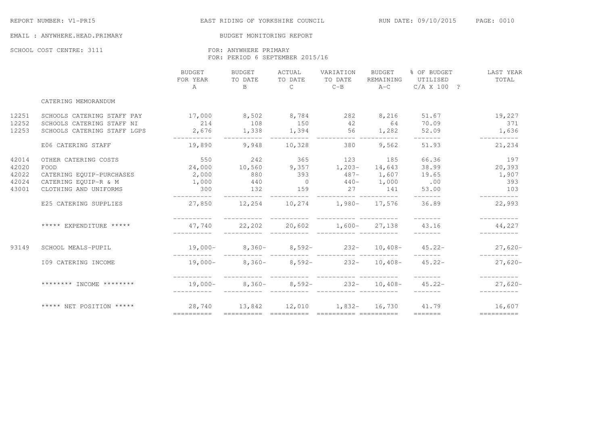EAST RIDING OF YORKSHIRE COUNCIL THE RUN DATE: 09/10/2015 PAGE: 0010

#### EMAIL : ANYWHERE.HEAD.PRIMARY BUDGET MONITORING REPORT

SCHOOL COST CENTRE: 3111 **FOR: ANYWHERE PRIMARY** FOR: PERIOD 6 SEPTEMBER 2015/16

|       |                             | BUDGET<br>FOR YEAR<br>A                           | <b>BUDGET</b><br>TO DATE | ACTUAL<br>TO DATE | VARIATION<br>TO DATE          | BUDGET<br>REMAINING | % OF BUDGET<br>UTILISED<br>B $C$ $C-B$ $A-C$ $C/A X 100 ?$ | LAST YEAR<br>TOTAL        |
|-------|-----------------------------|---------------------------------------------------|--------------------------|-------------------|-------------------------------|---------------------|------------------------------------------------------------|---------------------------|
|       | CATERING MEMORANDUM         |                                                   |                          |                   |                               |                     |                                                            |                           |
| 12251 | SCHOOLS CATERING STAFF PAY  | $17,000$ 8,502 8,784 282 8,216                    |                          |                   |                               |                     | 51.67                                                      | 19,227                    |
| 12252 | SCHOOLS CATERING STAFF NI   | 214                                               | 108                      | 150 42            |                               | 64 70.09            |                                                            | 371                       |
| 12253 | SCHOOLS CATERING STAFF LGPS | 2,676 1,338                                       | __________               | 1,394 56          |                               |                     | 1,282 52.09 1,636<br>$- - - - - - -$                       |                           |
|       | E06 CATERING STAFF          | 19,890                                            |                          | 9,948 10,328      | 380 380                       | 9,562               | 51.93                                                      | 21,234                    |
| 42014 | OTHER CATERING COSTS        | 550 242 365 123 185                               |                          |                   |                               |                     | 66.36                                                      | 197                       |
| 42020 | FOOD                        | 24,000 10,560                                     |                          |                   | $9,357$ 1, 203- 14, 643 38.99 |                     |                                                            | 20, 393                   |
| 42022 | CATERING EOUIP-PURCHASES    | 2,000                                             | 880                      | 393               |                               | $487 - 1,607$ 19.65 |                                                            | 1,907                     |
| 42024 | CATERING EQUIP-R & M        | 1,000                                             | 440                      | $\overline{0}$    | $440 - 1,000$                 |                     | .00                                                        | 393                       |
| 43001 | CLOTHING AND UNIFORMS       | 300                                               | 132                      | 159               | 27 141                        |                     | 53.00                                                      | 103                       |
|       | E25 CATERING SUPPLIES       | $27,850$ $12,254$ $10,274$ $1,980 17,576$ $36.89$ |                          |                   |                               |                     |                                                            | 22,993                    |
|       | ***** EXPENDITURE *****     |                                                   |                          |                   |                               |                     | $47,740$ 22,202 20,602 1,600- 27,138 43.16 44,227          |                           |
| 93149 | SCHOOL MEALS-PUPIL          |                                                   |                          |                   |                               |                     | $19,000-$ 8,360- 8,592- 232- 10,408- 45.22- 27,620-        |                           |
|       | I09 CATERING INCOME         |                                                   |                          |                   |                               |                     | $19,000-$ 8,360- 8,592- 232- 10,408- 45.22-                | $27,620-$                 |
|       | ******** TNCOME ********    | $19,000-$                                         |                          |                   |                               |                     | ________<br>$8,360  8,592  232  10,408  45.22  27,620 -$   | ___________<br>__________ |
|       |                             |                                                   |                          |                   |                               |                     |                                                            |                           |
|       |                             |                                                   |                          |                   |                               |                     |                                                            |                           |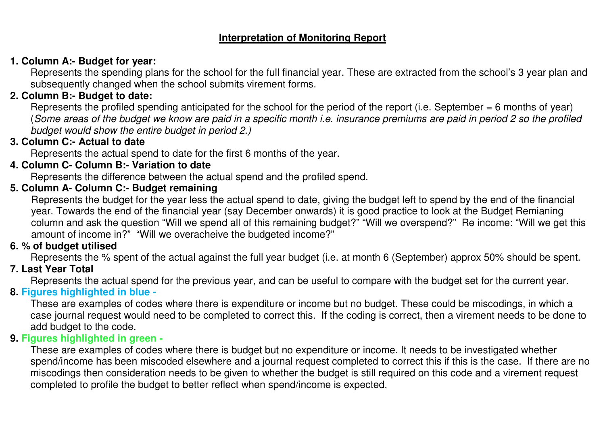# **Interpretation of Monitoring Report**

## **1. Column A:- Budget for year:**

 Represents the spending plans for the school for the full financial year. These are extracted from the school's 3 year plan and subsequently changed when the school submits virement forms.

# **2. Column B:- Budget to date:**

Represents the profiled spending anticipated for the school for the period of the report (i.e. September = 6 months of year) (Some areas of the budget we know are paid in a specific month i.e. insurance premiums are paid in period 2 so the profiled budget would show the entire budget in period 2.)

# **3. Column C:- Actual to date**

Represents the actual spend to date for the first 6 months of the year.

# **4. Column C- Column B:- Variation to date**

Represents the difference between the actual spend and the profiled spend.

# **5. Column A- Column C:- Budget remaining**

 Represents the budget for the year less the actual spend to date, giving the budget left to spend by the end of the financial year. Towards the end of the financial year (say December onwards) it is good practice to look at the Budget Remianing column and ask the question "Will we spend all of this remaining budget?" "Will we overspend?" Re income: "Will we get this amount of income in?" "Will we overacheive the budgeted income?"

### **6. % of budget utilised**

Represents the % spent of the actual against the full year budget (i.e. at month 6 (September) approx 50% should be spent.

# **7. Last Year Total**

Represents the actual spend for the previous year, and can be useful to compare with the budget set for the current year.

### **8. Figures highlighted in blue -**

 These are examples of codes where there is expenditure or income but no budget. These could be miscodings, in which a case journal request would need to be completed to correct this. If the coding is correct, then a virement needs to be done to add budget to the code.

### **9. Figures highlighted in green -**

 These are examples of codes where there is budget but no expenditure or income. It needs to be investigated whether spend/income has been miscoded elsewhere and a journal request completed to correct this if this is the case. If there are no miscodings then consideration needs to be given to whether the budget is still required on this code and a virement request completed to profile the budget to better reflect when spend/income is expected.